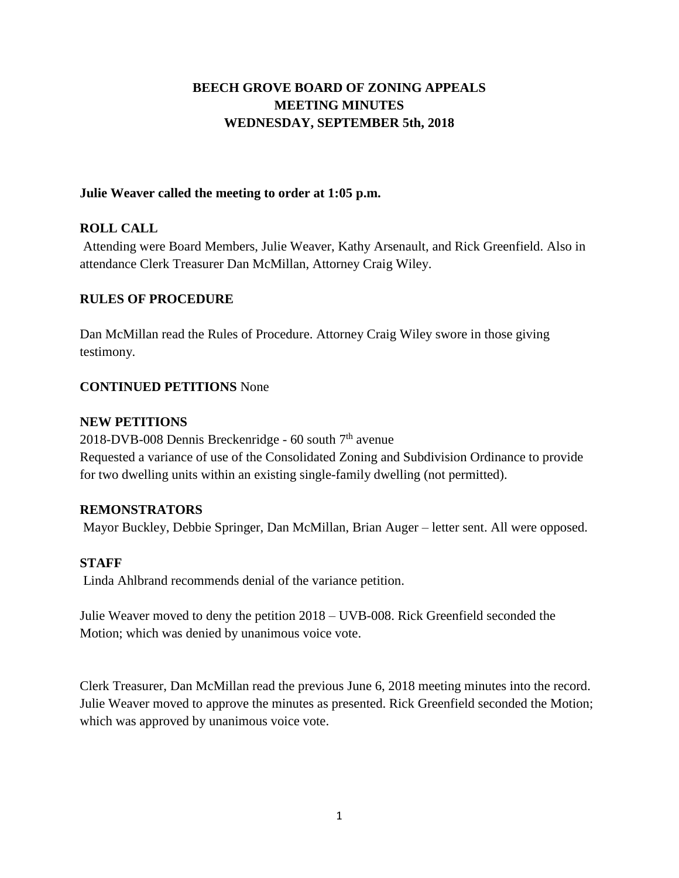# **BEECH GROVE BOARD OF ZONING APPEALS MEETING MINUTES WEDNESDAY, SEPTEMBER 5th, 2018**

# **Julie Weaver called the meeting to order at 1:05 p.m.**

# **ROLL CALL**

Attending were Board Members, Julie Weaver, Kathy Arsenault, and Rick Greenfield. Also in attendance Clerk Treasurer Dan McMillan, Attorney Craig Wiley.

# **RULES OF PROCEDURE**

Dan McMillan read the Rules of Procedure. Attorney Craig Wiley swore in those giving testimony.

# **CONTINUED PETITIONS** None

# **NEW PETITIONS**

2018-DVB-008 Dennis Breckenridge -  $60$  south  $7<sup>th</sup>$  avenue Requested a variance of use of the Consolidated Zoning and Subdivision Ordinance to provide for two dwelling units within an existing single-family dwelling (not permitted).

# **REMONSTRATORS**

Mayor Buckley, Debbie Springer, Dan McMillan, Brian Auger – letter sent. All were opposed.

# **STAFF**

Linda Ahlbrand recommends denial of the variance petition.

Julie Weaver moved to deny the petition 2018 – UVB-008. Rick Greenfield seconded the Motion; which was denied by unanimous voice vote.

Clerk Treasurer, Dan McMillan read the previous June 6, 2018 meeting minutes into the record. Julie Weaver moved to approve the minutes as presented. Rick Greenfield seconded the Motion; which was approved by unanimous voice vote.